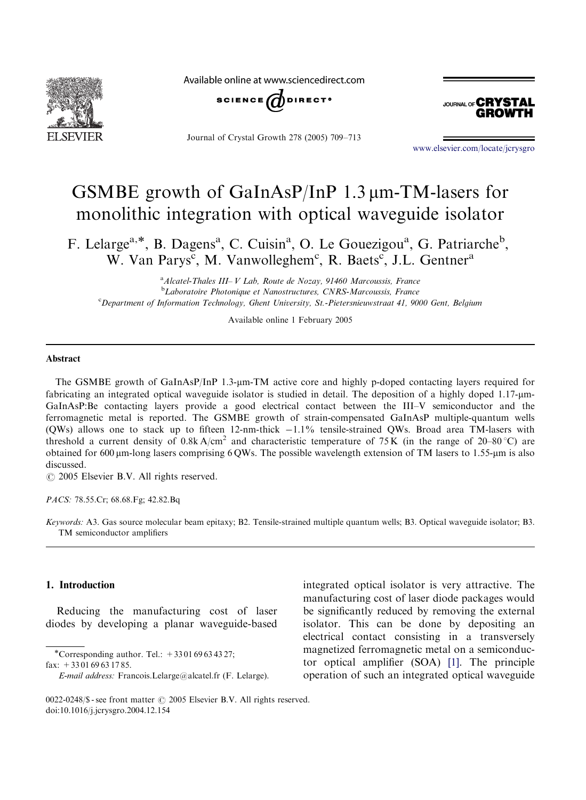

Available online at www.sciencedirect.com



Journal of Crystal Growth 278 (2005) 709–713



<www.elsevier.com/locate/jcrysgro>

# GSMBE growth of GaInAsP/InP  $1.3 \mu$ m-TM-lasers for monolithic integration with optical waveguide isolator

F. Lelarge<sup>a,\*</sup>, B. Dagens<sup>a</sup>, C. Cuisin<sup>a</sup>, O. Le Gouezigou<sup>a</sup>, G. Patriarche<sup>b</sup>, W. Van Parys<sup>c</sup>, M. Vanwolleghem<sup>c</sup>, R. Baets<sup>c</sup>, J.L. Gentner<sup>a</sup>

<sup>a</sup> Alcatel-Thales III-V Lab, Route de Nozay, 91460 Marcoussis, France <sup>b</sup>Laboratoire Photonique et Nanostructures, CNRS-Marcoussis, France c Department of Information Technology, Ghent University, St.-Pietersnieuwstraat 41, 9000 Gent, Belgium

Available online 1 February 2005

#### Abstract

The GSMBE growth of GaInAsP/InP 1.3-um-TM active core and highly p-doped contacting layers required for fabricating an integrated optical waveguide isolator is studied in detail. The deposition of a highly doped 1.17-um-GaInAsP:Be contacting layers provide a good electrical contact between the III–V semiconductor and the ferromagnetic metal is reported. The GSMBE growth of strain-compensated GaInAsP multiple-quantum wells (QWs) allows one to stack up to fifteen  $12$ -nm-thick  $-1.1\%$  tensile-strained QWs. Broad area TM-lasers with threshold a current density of  $0.8k A/cm^2$  and characteristic temperature of 75 K (in the range of 20–80 °C) are obtained for  $600 \mu$ m-long lasers comprising  $6 \text{OWs}$ . The possible wavelength extension of TM lasers to 1.55- $\mu$ m is also discussed.

 $\odot$  2005 Elsevier B.V. All rights reserved.

PACS: 78.55.Cr; 68.68.Fg; 42.82.Bq

Keywords: A3. Gas source molecular beam epitaxy; B2. Tensile-strained multiple quantum wells; B3. Optical waveguide isolator; B3. TM semiconductor amplifiers

## 1. Introduction

Reducing the manufacturing cost of laser diodes by developing a planar waveguide-based

\*Corresponding author. Tel.:  $+330169634327$ ; fax:  $+330169631785$ .

integrated optical isolator is very attractive. The manufacturing cost of laser diode packages would be significantly reduced by removing the external isolator. This can be done by depositing an electrical contact consisting in a transversely magnetized ferromagnetic metal on a semiconductor optical amplifier (SOA) [\[1\].](#page-4-0) The principle operation of such an integrated optical waveguide

E-mail address: Francois.Lelarge@alcatel.fr (F. Lelarge).

<sup>0022-0248/\$ -</sup> see front matter  $\odot$  2005 Elsevier B.V. All rights reserved. doi:10.1016/j.jcrysgro.2004.12.154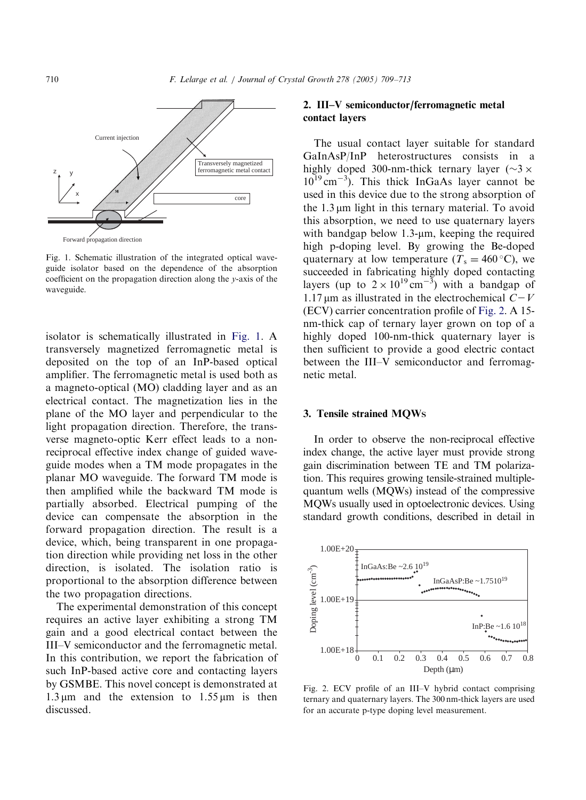

Fig. 1. Schematic illustration of the integrated optical waveguide isolator based on the dependence of the absorption coefficient on the propagation direction along the y-axis of the waveguide.

isolator is schematically illustrated in Fig. 1. A transversely magnetized ferromagnetic metal is deposited on the top of an InP-based optical amplifier. The ferromagnetic metal is used both as a magneto-optical (MO) cladding layer and as an electrical contact. The magnetization lies in the plane of the MO layer and perpendicular to the light propagation direction. Therefore, the transverse magneto-optic Kerr effect leads to a nonreciprocal effective index change of guided waveguide modes when a TM mode propagates in the planar MO waveguide. The forward TM mode is then amplified while the backward TM mode is partially absorbed. Electrical pumping of the device can compensate the absorption in the forward propagation direction. The result is a device, which, being transparent in one propagation direction while providing net loss in the other direction, is isolated. The isolation ratio is proportional to the absorption difference between the two propagation directions.

The experimental demonstration of this concept requires an active layer exhibiting a strong TM gain and a good electrical contact between the III–V semiconductor and the ferromagnetic metal. In this contribution, we report the fabrication of such InP-based active core and contacting layers by GSMBE. This novel concept is demonstrated at  $1.3 \,\mu\text{m}$  and the extension to  $1.55 \,\mu\text{m}$  is then discussed.

# 2. III–V semiconductor/ferromagnetic metal contact layers

The usual contact layer suitable for standard GaInAsP/InP heterostructures consists in a highly doped 300-nm-thick ternary layer ( $\sim$ 3  $\times$  $10^{19}$  cm<sup>-3</sup>). This thick InGaAs layer cannot be used in this device due to the strong absorption of the  $1.3 \mu m$  light in this ternary material. To avoid this absorption, we need to use quaternary layers with bandgap below  $1.3$ - $\mu$ m, keeping the required high p-doping level. By growing the Be-doped quaternary at low temperature ( $T_s = 460$  °C), we succeeded in fabricating highly doped contacting layers (up to  $2 \times 10^{19} \text{ cm}^{-3}$ ) with a bandgap of 1.17  $\mu$ m as illustrated in the electrochemical  $C-V$ (ECV) carrier concentration profile of Fig. 2. A 15 nm-thick cap of ternary layer grown on top of a highly doped 100-nm-thick quaternary layer is then sufficient to provide a good electric contact between the III–V semiconductor and ferromagnetic metal.

#### 3. Tensile strained MQWS

In order to observe the non-reciprocal effective index change, the active layer must provide strong gain discrimination between TE and TM polarization. This requires growing tensile-strained multiplequantum wells (MQWs) instead of the compressive MQWs usually used in optoelectronic devices. Using standard growth conditions, described in detail in



Fig. 2. ECV profile of an III–V hybrid contact comprising ternary and quaternary layers. The 300 nm-thick layers are used for an accurate p-type doping level measurement.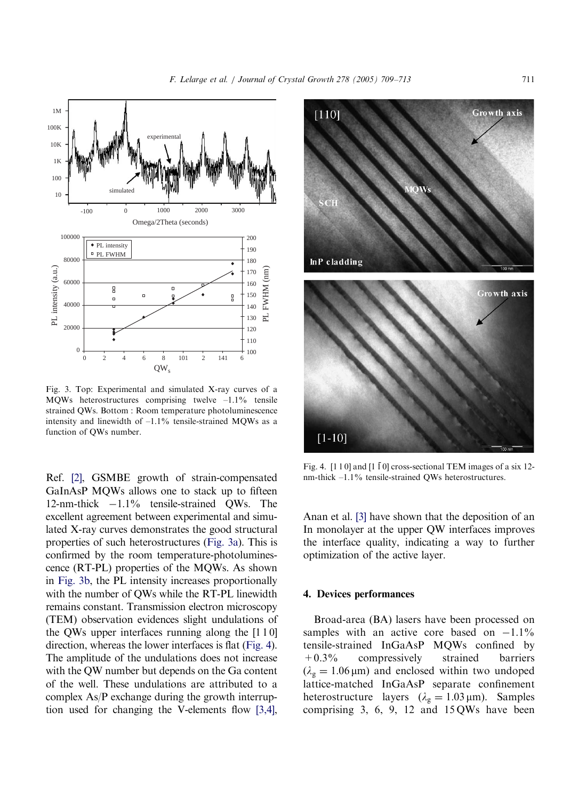<span id="page-2-0"></span>

Fig. 3. Top: Experimental and simulated X-ray curves of a MQWs heterostructures comprising twelve  $-1.1\%$  tensile strained QWs. Bottom : Room temperature photoluminescence intensity and linewidth of  $-1.1\%$  tensile-strained MQWs as a function of QWs number.

Ref. [\[2\]](#page-4-0), GSMBE growth of strain-compensated GaInAsP MQWs allows one to stack up to fifteen 12-nm-thick  $-1.1\%$  tensile-strained OWs. The excellent agreement between experimental and simulated X-ray curves demonstrates the good structural properties of such heterostructures (Fig. 3a). This is confirmed by the room temperature-photoluminescence (RT-PL) properties of the MQWs. As shown in Fig. 3b, the PL intensity increases proportionally with the number of QWs while the RT-PL linewidth remains constant. Transmission electron microscopy (TEM) observation evidences slight undulations of the QWs upper interfaces running along the [1 1 0] direction, whereas the lower interfaces is flat (Fig. 4). The amplitude of the undulations does not increase with the QW number but depends on the Ga content of the well. These undulations are attributed to a complex As/P exchange during the growth interruption used for changing the V-elements flow [\[3,4\]](#page-4-0),



Fig. 4. [1 1 0] and  $[1 \overline{1} 0]$  cross-sectional TEM images of a six 12nm-thick –1.1% tensile-strained QWs heterostructures.

Anan et al. [\[3\]](#page-4-0) have shown that the deposition of an In monolayer at the upper QW interfaces improves the interface quality, indicating a way to further optimization of the active layer.

## 4. Devices performances

Broad-area (BA) lasers have been processed on samples with an active core based on  $-1.1\%$ tensile-strained InGaAsP MQWs confined by +0.3% compressively strained barriers  $(\lambda_g = 1.06 \,\mu\text{m})$  and enclosed within two undoped lattice-matched InGaAsP separate confinement heterostructure layers  $(\lambda_g = 1.03 \,\mu\text{m})$ . Samples comprising 3, 6, 9, 12 and 15 QWs have been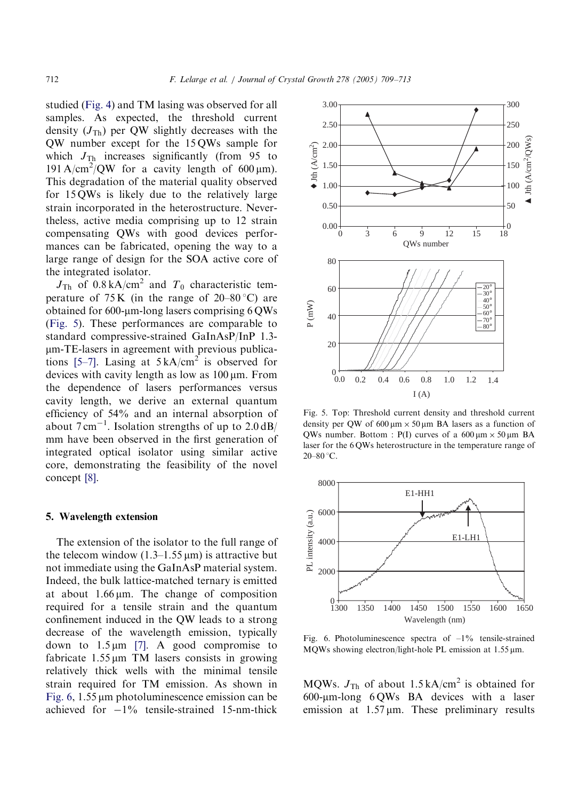studied [\(Fig. 4](#page-2-0)) and TM lasing was observed for all samples. As expected, the threshold current density  $(J_{\text{Th}})$  per QW slightly decreases with the QW number except for the 15 QWs sample for which  $J_{\text{Th}}$  increases significantly (from 95 to 191 A/cm<sup>2</sup>/QW for a cavity length of 600  $\mu$ m). This degradation of the material quality observed for 15 QWs is likely due to the relatively large strain incorporated in the heterostructure. Nevertheless, active media comprising up to 12 strain compensating QWs with good devices performances can be fabricated, opening the way to a large range of design for the SOA active core of the integrated isolator.

 $J_{\text{Th}}$  of 0.8 kA/cm<sup>2</sup> and  $T_0$  characteristic temperature of  $75 K$  (in the range of  $20-80$  °C) are obtained for  $600$ -µm-long lasers comprising  $6 \text{QWs}$ (Fig. 5). These performances are comparable to standard compressive-strained GaInAsP/InP 1.3 mm-TE-lasers in agreement with previous publica-tions [\[5–7\]](#page-4-0). Lasing at  $5 \text{ kA/cm}^2$  is observed for devices with cavity length as low as  $100 \mu m$ . From the dependence of lasers performances versus cavity length, we derive an external quantum efficiency of 54% and an internal absorption of about  $7 \text{ cm}^{-1}$ . Isolation strengths of up to  $2.0 \text{ dB}/$ mm have been observed in the first generation of integrated optical isolator using similar active core, demonstrating the feasibility of the novel concept [\[8\]](#page-4-0).

### 5. Wavelength extension

The extension of the isolator to the full range of the telecom window  $(1.3-1.55 \,\mu\text{m})$  is attractive but not immediate using the GaInAsP material system. Indeed, the bulk lattice-matched ternary is emitted at about  $1.66 \mu m$ . The change of composition required for a tensile strain and the quantum confinement induced in the QW leads to a strong decrease of the wavelength emission, typically down to  $1.5 \mu m$  [\[7\].](#page-4-0) A good compromise to fabricate  $1.55 \mu m$  TM lasers consists in growing relatively thick wells with the minimal tensile strain required for TM emission. As shown in Fig.  $6$ , 1.55  $\mu$ m photoluminescence emission can be achieved for  $-1\%$  tensile-strained 15-nm-thick



Fig. 5. Top: Threshold current density and threshold current density per QW of  $600 \mu m \times 50 \mu m$  BA lasers as a function of QWs number. Bottom : P(I) curves of a  $600 \mu m \times 50 \mu m$  BA laser for the 6 QWs heterostructure in the temperature range of  $20-80$  °C.



Fig. 6. Photoluminescence spectra of  $-1\%$  tensile-strained MQWs showing electron/light-hole PL emission at  $1.55 \,\text{\mu m}$ .

MQWs.  $J_{\text{Th}}$  of about 1.5 kA/cm<sup>2</sup> is obtained for  $600$ -µm-long  $6QWs$  BA devices with a laser emission at  $1.57 \,\text{\ensuremath{\mu}}$  m. These preliminary results